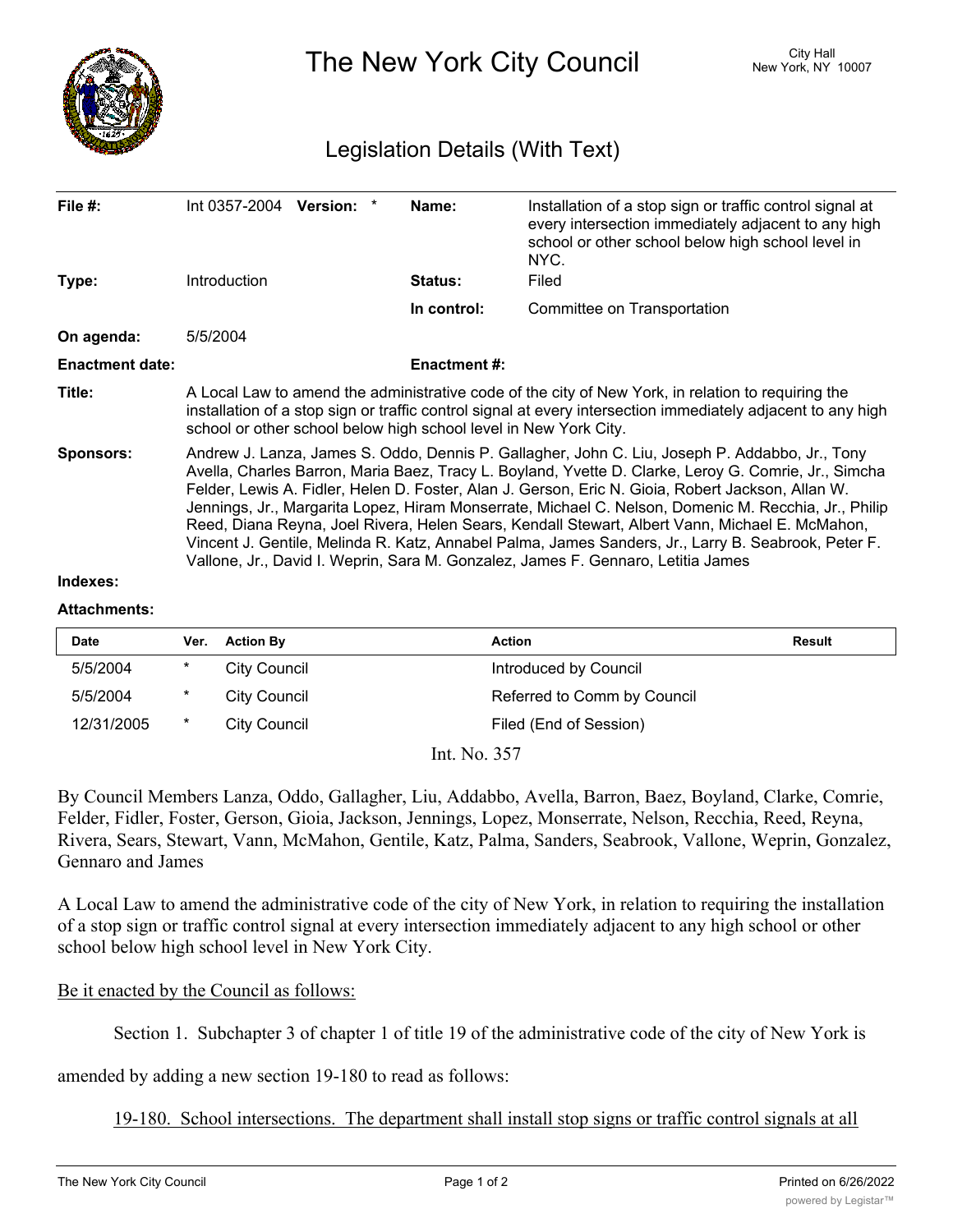

The New York City Council New York, NY 10007

## Legislation Details (With Text)

| File $#$ :             | $Int 0357-2004$ Version:                                                                                                                                                                                                                                                                                                                                                                                                                                                                                                                                                                                                                                                                                         | Name:               | Installation of a stop sign or traffic control signal at<br>every intersection immediately adjacent to any high<br>school or other school below high school level in<br>NYC. |  |  |
|------------------------|------------------------------------------------------------------------------------------------------------------------------------------------------------------------------------------------------------------------------------------------------------------------------------------------------------------------------------------------------------------------------------------------------------------------------------------------------------------------------------------------------------------------------------------------------------------------------------------------------------------------------------------------------------------------------------------------------------------|---------------------|------------------------------------------------------------------------------------------------------------------------------------------------------------------------------|--|--|
| Type:                  | <b>Introduction</b>                                                                                                                                                                                                                                                                                                                                                                                                                                                                                                                                                                                                                                                                                              | Status:             | Filed                                                                                                                                                                        |  |  |
|                        |                                                                                                                                                                                                                                                                                                                                                                                                                                                                                                                                                                                                                                                                                                                  | In control:         | Committee on Transportation                                                                                                                                                  |  |  |
| On agenda:             | 5/5/2004                                                                                                                                                                                                                                                                                                                                                                                                                                                                                                                                                                                                                                                                                                         |                     |                                                                                                                                                                              |  |  |
| <b>Enactment date:</b> |                                                                                                                                                                                                                                                                                                                                                                                                                                                                                                                                                                                                                                                                                                                  | <b>Enactment #:</b> |                                                                                                                                                                              |  |  |
| Title:                 | A Local Law to amend the administrative code of the city of New York, in relation to requiring the<br>installation of a stop sign or traffic control signal at every intersection immediately adjacent to any high<br>school or other school below high school level in New York City.                                                                                                                                                                                                                                                                                                                                                                                                                           |                     |                                                                                                                                                                              |  |  |
| <b>Sponsors:</b>       | Andrew J. Lanza, James S. Oddo, Dennis P. Gallagher, John C. Liu, Joseph P. Addabbo, Jr., Tony<br>Avella, Charles Barron, Maria Baez, Tracy L. Boyland, Yvette D. Clarke, Leroy G. Comrie, Jr., Simcha<br>Felder, Lewis A. Fidler, Helen D. Foster, Alan J. Gerson, Eric N. Gioia, Robert Jackson, Allan W.<br>Jennings, Jr., Margarita Lopez, Hiram Monserrate, Michael C. Nelson, Domenic M. Recchia, Jr., Philip<br>Reed, Diana Reyna, Joel Rivera, Helen Sears, Kendall Stewart, Albert Vann, Michael E. McMahon,<br>Vincent J. Gentile, Melinda R. Katz, Annabel Palma, James Sanders, Jr., Larry B. Seabrook, Peter F.<br>Vallone, Jr., David I. Weprin, Sara M. Gonzalez, James F. Gennaro, Letitia James |                     |                                                                                                                                                                              |  |  |
| Indexes:               |                                                                                                                                                                                                                                                                                                                                                                                                                                                                                                                                                                                                                                                                                                                  |                     |                                                                                                                                                                              |  |  |

## **Attachments:**

| <b>Date</b> | Ver.     | <b>Action By</b>    | <b>Action</b>               | Result |
|-------------|----------|---------------------|-----------------------------|--------|
| 5/5/2004    | $\ast$   | <b>City Council</b> | Introduced by Council       |        |
| 5/5/2004    | $^\star$ | City Council        | Referred to Comm by Council |        |
| 12/31/2005  | $\ast$   | City Council        | Filed (End of Session)      |        |
| T. NT 257   |          |                     |                             |        |

Int. No. 357

By Council Members Lanza, Oddo, Gallagher, Liu, Addabbo, Avella, Barron, Baez, Boyland, Clarke, Comrie, Felder, Fidler, Foster, Gerson, Gioia, Jackson, Jennings, Lopez, Monserrate, Nelson, Recchia, Reed, Reyna, Rivera, Sears, Stewart, Vann, McMahon, Gentile, Katz, Palma, Sanders, Seabrook, Vallone, Weprin, Gonzalez, Gennaro and James

A Local Law to amend the administrative code of the city of New York, in relation to requiring the installation of a stop sign or traffic control signal at every intersection immediately adjacent to any high school or other school below high school level in New York City.

## Be it enacted by the Council as follows:

Section 1. Subchapter 3 of chapter 1 of title 19 of the administrative code of the city of New York is

amended by adding a new section 19-180 to read as follows:

19-180. School intersections. The department shall install stop signs or traffic control signals at all